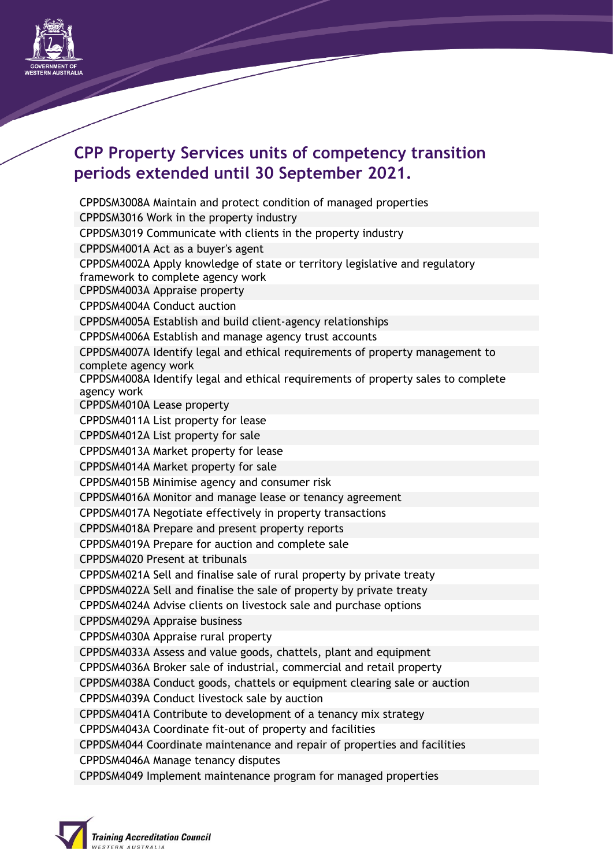

## **CPP Property Services units of competency transition periods extended until 30 September 2021.**

CPPDSM3008A Maintain and protect condition of managed properties CPPDSM3016 Work in the property industry CPPDSM3019 Communicate with clients in the property industry CPPDSM4001A Act as a buyer's agent CPPDSM4002A Apply knowledge of state or territory legislative and regulatory framework to complete agency work CPPDSM4003A Appraise property CPPDSM4004A Conduct auction CPPDSM4005A Establish and build client‐agency relationships CPPDSM4006A Establish and manage agency trust accounts CPPDSM4007A Identify legal and ethical requirements of property management to complete agency work CPPDSM4008A Identify legal and ethical requirements of property sales to complete agency work CPPDSM4010A Lease property CPPDSM4011A List property for lease CPPDSM4012A List property for sale CPPDSM4013A Market property for lease CPPDSM4014A Market property for sale CPPDSM4015B Minimise agency and consumer risk CPPDSM4016A Monitor and manage lease or tenancy agreement CPPDSM4017A Negotiate effectively in property transactions CPPDSM4018A Prepare and present property reports CPPDSM4019A Prepare for auction and complete sale CPPDSM4020 Present at tribunals CPPDSM4021A Sell and finalise sale of rural property by private treaty CPPDSM4022A Sell and finalise the sale of property by private treaty CPPDSM4024A Advise clients on livestock sale and purchase options CPPDSM4029A Appraise business CPPDSM4030A Appraise rural property CPPDSM4033A Assess and value goods, chattels, plant and equipment CPPDSM4036A Broker sale of industrial, commercial and retail property CPPDSM4038A Conduct goods, chattels or equipment clearing sale or auction CPPDSM4039A Conduct livestock sale by auction CPPDSM4041A Contribute to development of a tenancy mix strategy CPPDSM4043A Coordinate fit‐out of property and facilities CPPDSM4044 Coordinate maintenance and repair of properties and facilities CPPDSM4046A Manage tenancy disputes CPPDSM4049 Implement maintenance program for managed properties